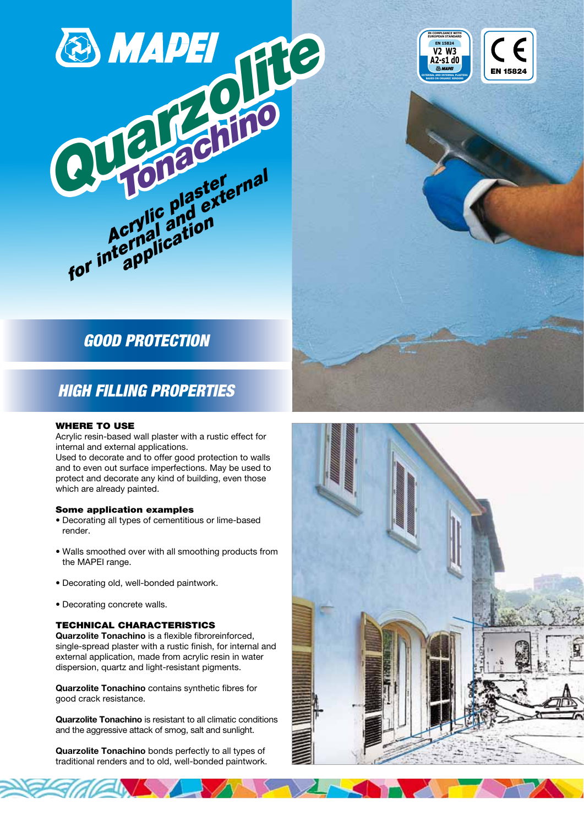

# GOOD PROTECTION

## HIGH FILLING PROPERTIES

#### WHERE TO USE

Acrylic resin-based wall plaster with a rustic effect for internal and external applications.

Used to decorate and to offer good protection to walls and to even out surface imperfections. May be used to protect and decorate any kind of building, even those which are already painted.

#### Some application examples

- Decorating all types of cementitious or lime-based render.
- Walls smoothed over with all smoothing products from the MAPEI range.
- Decorating old, well-bonded paintwork.
- Decorating concrete walls.

#### TECHNICAL CHARACTERISTICS

Quarzolite Tonachino is a flexible fibroreinforced, single-spread plaster with a rustic finish, for internal and external application, made from acrylic resin in water dispersion, quartz and light-resistant pigments.

Quarzolite Tonachino contains synthetic fibres for good crack resistance.

Quarzolite Tonachino is resistant to all climatic conditions and the aggressive attack of smog, salt and sunlight.

Quarzolite Tonachino bonds perfectly to all types of traditional renders and to old, well-bonded paintwork.





**V2 W3 A2-s1 d0**

**EN 15824**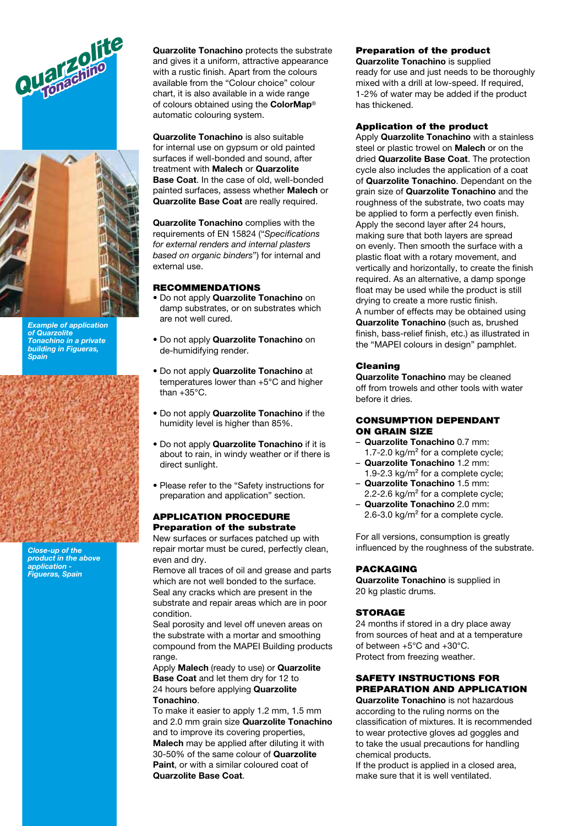



Example of application of Quarzolite Tonachino in a private building in Figueras, Spain

Close-up of the product in the above application - Figueras, Spain

Quarzolite Tonachino protects the substrate and gives it a uniform, attractive appearance with a rustic finish. Apart from the colours available from the "Colour choice" colour chart, it is also available in a wide range of colours obtained using the ColorMap® automatic colouring system.

Quarzolite Tonachino is also suitable for internal use on gypsum or old painted surfaces if well-bonded and sound, after treatment with Malech or Quarzolite Base Coat. In the case of old, well-bonded painted surfaces, assess whether Malech or Quarzolite Base Coat are really required.

Quarzolite Tonachino complies with the requirements of EN 15824 ("Specifications for external renders and internal plasters based on organic binders") for internal and external use.

#### **RECOMMENDATIONS**

- Do not apply Quarzolite Tonachino on damp substrates, or on substrates which are not well cured.
- Do not apply Quarzolite Tonachino on de-humidifying render.
- Do not apply Quarzolite Tonachino at temperatures lower than +5°C and higher than +35°C.
- Do not apply Quarzolite Tonachino if the humidity level is higher than 85%.
- Do not apply Quarzolite Tonachino if it is about to rain, in windy weather or if there is direct sunlight.
- Please refer to the "Safety instructions for preparation and application" section.

#### APPLICATION PROCEDURE Preparation of the substrate

New surfaces or surfaces patched up with repair mortar must be cured, perfectly clean, even and dry.

Remove all traces of oil and grease and parts which are not well bonded to the surface. Seal any cracks which are present in the substrate and repair areas which are in poor condition.

Seal porosity and level off uneven areas on the substrate with a mortar and smoothing compound from the MAPEI Building products range.

Apply Malech (ready to use) or Quarzolite Base Coat and let them dry for 12 to 24 hours before applying **Quarzolite** Tonachino.

To make it easier to apply 1.2 mm, 1.5 mm and 2.0 mm grain size Quarzolite Tonachino and to improve its covering properties, Malech may be applied after diluting it with 30-50% of the same colour of Quarzolite Paint, or with a similar coloured coat of Quarzolite Base Coat.

## Preparation of the product

Quarzolite Tonachino is supplied ready for use and just needs to be thoroughly mixed with a drill at low-speed. If required, 1-2% of water may be added if the product has thickened.

#### Application of the product

Apply **Quarzolite Tonachino** with a stainless steel or plastic trowel on **Malech** or on the dried Quarzolite Base Coat. The protection cycle also includes the application of a coat of Quarzolite Tonachino. Dependant on the grain size of **Quarzolite Tonachino** and the roughness of the substrate, two coats may be applied to form a perfectly even finish. Apply the second layer after 24 hours, making sure that both layers are spread on evenly. Then smooth the surface with a plastic float with a rotary movement, and vertically and horizontally, to create the finish required. As an alternative, a damp sponge float may be used while the product is still drying to create a more rustic finish. A number of effects may be obtained using Quarzolite Tonachino (such as, brushed finish, bass-relief finish, etc.) as illustrated in the "MAPEI colours in design" pamphlet.

#### Cleaning

Quarzolite Tonachino may be cleaned off from trowels and other tools with water before it dries.

#### CONSUMPTION DEPENDANT ON GRAIN SIZE

- Quarzolite Tonachino 0.7 mm: 1.7-2.0 kg/m² for a complete cycle;
- Quarzolite Tonachino 1.2 mm: 1.9-2.3 kg/m² for a complete cycle; Quarzolite Tonachino 1.5 mm:
- 2.2-2.6 kg/m² for a complete cycle; – Quarzolite Tonachino 2.0 mm:
- 2.6-3.0 kg/m² for a complete cycle.

For all versions, consumption is greatly influenced by the roughness of the substrate.

#### PACKAGING

Quarzolite Tonachino is supplied in 20 kg plastic drums.

#### **STORAGE**

24 months if stored in a dry place away from sources of heat and at a temperature of between +5°C and +30°C. Protect from freezing weather.

#### SAFETY INSTRUCTIONS FOR PREPARATION AND APPLICATION

Quarzolite Tonachino is not hazardous according to the ruling norms on the classification of mixtures. It is recommended to wear protective gloves ad goggles and to take the usual precautions for handling chemical products.

If the product is applied in a closed area, make sure that it is well ventilated.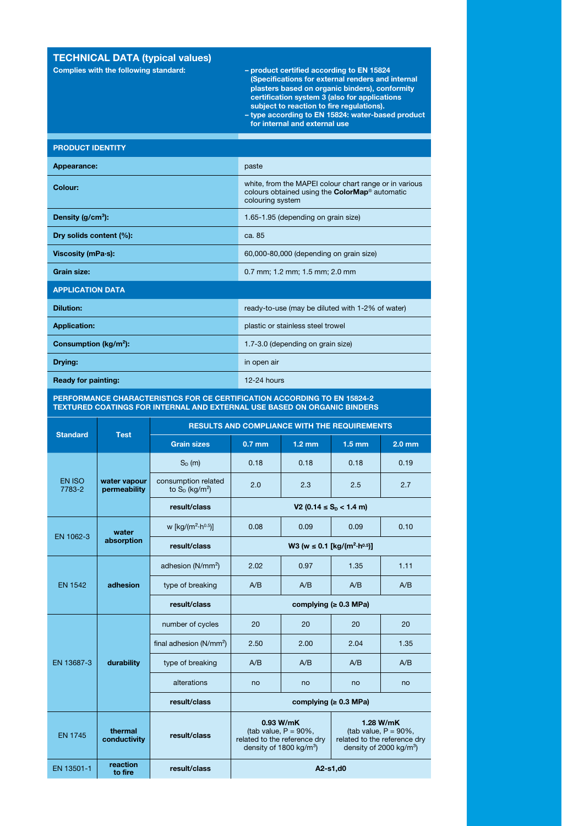### TECHNICAL DATA (typical values)

- Complies with the following standard: product certified according to EN 15824 (Specifications for external renders and internal plasters based on organic binders), conformity certification system 3 (also for applications subject to reaction to fire regulations). – type according to EN 15824: water-based product
	- for internal and external use

|  |  | <b>PRODUCT IDENTITY</b> |
|--|--|-------------------------|
|  |  |                         |

| Appearance:                | paste                                                                                                                               |  |  |  |
|----------------------------|-------------------------------------------------------------------------------------------------------------------------------------|--|--|--|
| Colour:                    | white, from the MAPEI colour chart range or in various<br>colours obtained using the <b>ColorMap®</b> automatic<br>colouring system |  |  |  |
| Density $(g/cm^3)$ :       | 1.65-1.95 (depending on grain size)                                                                                                 |  |  |  |
| Dry solids content (%):    | ca. 85                                                                                                                              |  |  |  |
| Viscosity (mPa-s):         | 60,000-80,000 (depending on grain size)                                                                                             |  |  |  |
| Grain size:                | 0.7 mm; 1.2 mm; 1.5 mm; 2.0 mm                                                                                                      |  |  |  |
| <b>APPLICATION DATA</b>    |                                                                                                                                     |  |  |  |
| <b>Dilution:</b>           | ready-to-use (may be diluted with 1-2% of water)                                                                                    |  |  |  |
| <b>Application:</b>        | plastic or stainless steel trowel                                                                                                   |  |  |  |
| Consumption ( $kg/m2$ ):   | 1.7-3.0 (depending on grain size)                                                                                                   |  |  |  |
| Drying:                    | in open air                                                                                                                         |  |  |  |
| <b>Ready for painting:</b> | $12-24$ hours                                                                                                                       |  |  |  |

#### PERFORMANCE CHARACTERISTICS FOR CE CERTIFICATION ACCORDING TO EN 15824-2 TEXTURED COATINGS FOR INTERNAL AND EXTERNAL USE BASED ON ORGANIC BINDERS

|                         | <b>Test</b>                  | <b>RESULTS AND COMPLIANCE WITH THE REQUIREMENTS</b>  |                                                                                                                                                                                                          |                  |                  |                   |  |
|-------------------------|------------------------------|------------------------------------------------------|----------------------------------------------------------------------------------------------------------------------------------------------------------------------------------------------------------|------------------|------------------|-------------------|--|
| <b>Standard</b>         |                              | <b>Grain sizes</b>                                   | $0.7$ mm                                                                                                                                                                                                 | $1.2 \text{ mm}$ | $1.5 \text{ mm}$ | 2.0 <sub>mm</sub> |  |
| <b>EN ISO</b><br>7783-2 | water vapour<br>permeability | $S_D(m)$                                             | 0.18                                                                                                                                                                                                     | 0.18             | 0.18             | 0.19              |  |
|                         |                              | consumption related<br>to $S_D$ (kg/m <sup>2</sup> ) | 2.0                                                                                                                                                                                                      | 2.3              | 2.5              | 2.7               |  |
|                         |                              | result/class                                         | V2 (0.14 $\leq$ S <sub>D</sub> < 1.4 m)                                                                                                                                                                  |                  |                  |                   |  |
| EN 1062-3               | water<br>absorption          | w [kg/( $m^2$ -h <sup>0.5</sup> )]                   | 0.08                                                                                                                                                                                                     | 0.09             | 0.09             | 0.10              |  |
|                         |                              | result/class                                         | W3 (w ≤ 0.1 [kg/(m <sup>2</sup> ·h <sup>0.5</sup> )]                                                                                                                                                     |                  |                  |                   |  |
| <b>EN 1542</b>          | adhesion                     | adhesion (N/mm <sup>2</sup> )                        | 2.02                                                                                                                                                                                                     | 0.97             | 1.35             | 1.11              |  |
|                         |                              | type of breaking                                     | A/B                                                                                                                                                                                                      | A/B              | A/B              | A/B               |  |
|                         |                              | result/class                                         | complying ( $\geq 0.3$ MPa)                                                                                                                                                                              |                  |                  |                   |  |
| EN 13687-3              | durability                   | number of cycles                                     | 20                                                                                                                                                                                                       | 20               | 20               | 20                |  |
|                         |                              | final adhesion (N/mm <sup>2</sup> )                  | 2.50                                                                                                                                                                                                     | 2.00             | 2.04             | 1.35              |  |
|                         |                              | type of breaking                                     | A/B                                                                                                                                                                                                      | A/B              | A/B              | A/B               |  |
|                         |                              | alterations                                          | no                                                                                                                                                                                                       | no               | no               | no                |  |
|                         |                              | result/class                                         | complying ( $\geq 0.3$ MPa)                                                                                                                                                                              |                  |                  |                   |  |
| <b>EN 1745</b>          | thermal<br>conductivity      | result/class                                         | 0.93 W/mK<br>1.28 W/mK<br>(tab value, $P = 90\%$ ,<br>(tab value, $P = 90\%$ ,<br>related to the reference dry<br>related to the reference dry<br>density of 1800 $kg/m3$ )<br>density of 2000 $kg/m3$ ) |                  |                  |                   |  |
| EN 13501-1              | reaction<br>to fire          | result/class                                         | A2-s1,d0                                                                                                                                                                                                 |                  |                  |                   |  |